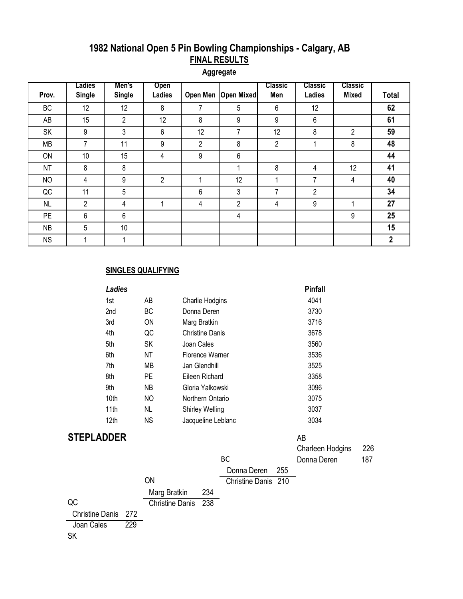# **1982 National Open 5 Pin Bowling Championships - Calgary, AB FINAL RESULTS**

**Aggregate**

|           | Ladies        | Men's          | Open           |                |                       | <b>Classic</b> | <b>Classic</b> | <b>Classic</b> |                  |
|-----------|---------------|----------------|----------------|----------------|-----------------------|----------------|----------------|----------------|------------------|
| Prov.     | <b>Single</b> | <b>Single</b>  | Ladies         |                | Open Men   Open Mixed | Men            | Ladies         | <b>Mixed</b>   | <b>Total</b>     |
| <b>BC</b> | 12            | 12             | 8              | 7              | 5                     | 6              | 12             |                | 62               |
| AB        | 15            | $\overline{2}$ | 12             | 8              | 9                     | 9              | 6              |                | 61               |
| SK        | 9             | 3              | 6              | 12             | 7                     | 12             | 8              | $\overline{2}$ | 59               |
| <b>MB</b> | 7             | 11             | 9              | $\overline{2}$ | 8                     | 2              |                | 8              | 48               |
| ON        | 10            | 15             | 4              | 9              | 6                     |                |                |                | 44               |
| <b>NT</b> | 8             | 8              |                |                |                       | 8              | 4              | 12             | 41               |
| <b>NO</b> | 4             | 9              | $\overline{2}$ |                | 12                    | 4              | 7              | 4              | 40               |
| QC        | 11            | 5              |                | 6              | 3                     | 7              | $\overline{2}$ |                | 34               |
| <b>NL</b> | 2             | 4              |                | 4              | 2                     | 4              | 9              |                | 27               |
| <b>PE</b> | 6             | 6              |                |                | 4                     |                |                | 9              | 25               |
| <b>NB</b> | 5             | 10             |                |                |                       |                |                |                | 15               |
| <b>NS</b> |               | 4              |                |                |                       |                |                |                | $\boldsymbol{2}$ |

#### **SINGLES QUALIFYING**

|                        | <b>Ladies</b> |                        |                        |                        |     | <b>Pinfall</b>   |     |  |
|------------------------|---------------|------------------------|------------------------|------------------------|-----|------------------|-----|--|
|                        | 1st           | AB                     | Charlie Hodgins        |                        |     | 4041             |     |  |
|                        | 2nd           | BC                     | Donna Deren            |                        |     | 3730             |     |  |
|                        | 3rd           | ON                     | Marg Bratkin           |                        |     | 3716             |     |  |
|                        | 4th           | QC                     | <b>Christine Danis</b> |                        |     | 3678             |     |  |
|                        | 5th           | SK                     | Joan Cales             |                        |     | 3560             |     |  |
|                        | 6th           | <b>NT</b>              | Florence Warner        |                        |     | 3536             |     |  |
|                        | 7th           | <b>MB</b>              | Jan Glendhill          |                        |     | 3525             |     |  |
|                        | 8th           | PE                     | Eileen Richard         |                        |     | 3358             |     |  |
|                        | 9th           | <b>NB</b>              | Gloria Yalkowski       |                        |     | 3096             |     |  |
|                        | 10th          | <b>NO</b>              | Northern Ontario       |                        |     | 3075             |     |  |
|                        | 11th          | <b>NL</b>              | Shirley Welling        |                        |     | 3037             |     |  |
|                        | 12th          | <b>NS</b>              | Jacqueline Leblanc     |                        |     | 3034             |     |  |
| <b>STEPLADDER</b>      |               |                        |                        |                        |     | AB               |     |  |
|                        |               |                        |                        |                        |     | Charleen Hodgins | 226 |  |
|                        |               |                        |                        | <b>BC</b>              |     | Donna Deren      | 187 |  |
|                        |               |                        |                        | Donna Deren            | 255 |                  |     |  |
|                        |               | ON                     |                        | <b>Christine Danis</b> | 210 |                  |     |  |
|                        |               | Marg Bratkin           | 234                    |                        |     |                  |     |  |
| QC                     |               | <b>Christine Danis</b> | 238                    |                        |     |                  |     |  |
| <b>Christine Danis</b> | 272           |                        |                        |                        |     |                  |     |  |
| Joan Cales             | 229           |                        |                        |                        |     |                  |     |  |
| <b>SK</b>              |               |                        |                        |                        |     |                  |     |  |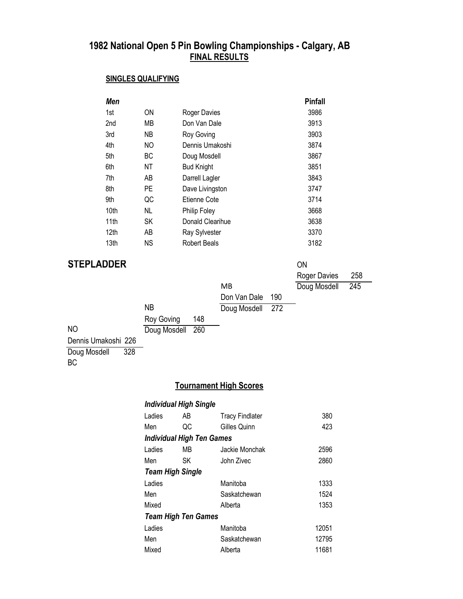#### **1982 National Open 5 Pin Bowling Championships - Calgary, AB FINAL RESULTS**

#### **SINGLES QUALIFYING**

| Men  |    |                     | <b>Pinfall</b> |
|------|----|---------------------|----------------|
| 1st  | ON | <b>Roger Davies</b> | 3986           |
| 2nd  | МB | Don Van Dale        | 3913           |
| 3rd  | ΝB | Roy Goving          | 3903           |
| 4th  | NO | Dennis Umakoshi     | 3874           |
| 5th  | ВC | Doug Mosdell        | 3867           |
| 6th  | ΝT | <b>Bud Knight</b>   | 3851           |
| 7th  | AB | Darrell Lagler      | 3843           |
| 8th  | PE | Dave Livingston     | 3747           |
| 9th  | QC | Etienne Cote        | 3714           |
| 10th | NL | Philip Foley        | 3668           |
| 11th | SK | Donald Clearihue    | 3638           |
| 12th | AB | Ray Sylvester       | 3370           |
| 13th | ΝS | Robert Beals        | 3182           |

### **STEPLADDER** ON

|                     |                  |     |                  | <b>Roger Davies</b> | 258 |
|---------------------|------------------|-----|------------------|---------------------|-----|
|                     |                  |     | MB               | Doug Mosdell        | 245 |
|                     |                  |     | Don Van Dale 190 |                     |     |
|                     | ΝB               |     | Doug Mosdell 272 |                     |     |
|                     | Roy Goving       | 148 |                  |                     |     |
| <b>NO</b>           | Doug Mosdell 260 |     |                  |                     |     |
| Dennis Umakoshi 226 |                  |     |                  |                     |     |

Doug Mosdell 328

#### BC

## **Tournament High Scores**

| <b>Individual High Single</b>    |    |                        |       |
|----------------------------------|----|------------------------|-------|
| Ladies                           | AB | <b>Tracy Findlater</b> | 380   |
| Men                              | QC | Gilles Quinn           | 423   |
| <b>Individual High Ten Games</b> |    |                        |       |
| Ladies                           | MВ | Jackie Monchak         | 2596  |
| Men                              | SK | John Zivec             | 2860  |
| <b>Team High Single</b>          |    |                        |       |
| Ladies                           |    | Manitoba               | 1333  |
| Men                              |    | Saskatchewan           | 1524  |
| Mixed                            |    | Alberta                | 1353  |
| <b>Team High Ten Games</b>       |    |                        |       |
| Ladies                           |    | Manitoba               | 12051 |
| Men                              |    | Saskatchewan           | 12795 |
| Mixed                            |    | Alberta                | 11681 |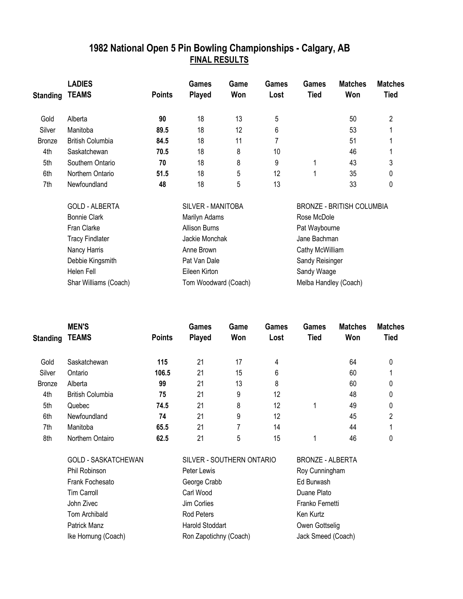# **1982 National Open 5 Pin Bowling Championships - Calgary, AB FINAL RESULTS**

|                 | <b>LADIES</b>           |                      | Games                | Game              | <b>Games</b>          | Games                            | <b>Matches</b> | <b>Matches</b> |  |
|-----------------|-------------------------|----------------------|----------------------|-------------------|-----------------------|----------------------------------|----------------|----------------|--|
| <b>Standing</b> | <b>TEAMS</b>            | <b>Points</b>        | <b>Played</b>        | Won               | Lost                  | <b>Tied</b>                      | Won            | <b>Tied</b>    |  |
| Gold            | Alberta                 | 90                   | 18                   | 13                | 5                     |                                  | 50             | 2              |  |
| Silver          | Manitoba                | 89.5                 | 18                   | $12 \overline{ }$ | 6                     |                                  | 53             |                |  |
| <b>Bronze</b>   | <b>British Columbia</b> | 84.5                 | 18                   | 11                |                       |                                  | 51             |                |  |
| 4th             | Saskatchewan            | 70.5                 | 18                   | 8                 | 10                    |                                  | 46             |                |  |
| 5th             | Southern Ontario        | 70                   | 18                   | 8                 | 9                     | 1                                | 43             | 3              |  |
| 6th             | Northern Ontario        | 51.5                 | 18                   | 5                 | 12                    | 1                                | 35             | 0              |  |
| 7th             | Newfoundland            | 48                   | 18                   | 5                 | 13                    |                                  | 33             | 0              |  |
|                 | <b>GOLD - ALBERTA</b>   | SILVER - MANITOBA    |                      |                   |                       | <b>BRONZE - BRITISH COLUMBIA</b> |                |                |  |
|                 | <b>Bonnie Clark</b>     | Marilyn Adams        |                      |                   |                       | Rose McDole                      |                |                |  |
|                 | Fran Clarke             |                      | <b>Allison Burns</b> |                   |                       | Pat Waybourne                    |                |                |  |
|                 | <b>Tracy Findlater</b>  |                      | Jackie Monchak       |                   |                       | Jane Bachman                     |                |                |  |
|                 | Nancy Harris            |                      | Anne Brown           |                   |                       | Cathy McWilliam                  |                |                |  |
|                 | Debbie Kingsmith        |                      | Pat Van Dale         |                   |                       | Sandy Reisinger                  |                |                |  |
|                 | Helen Fell              |                      | Eileen Kirton        |                   |                       | Sandy Waage                      |                |                |  |
|                 | Shar Williams (Coach)   | Tom Woodward (Coach) |                      |                   | Melba Handley (Coach) |                                  |                |                |  |

|               | <b>MEN'S</b>            | <b>Games</b>  | Game          | <b>Games</b> | Games | <b>Matches</b> | <b>Matches</b> |             |
|---------------|-------------------------|---------------|---------------|--------------|-------|----------------|----------------|-------------|
| Standing      | <b>TEAMS</b>            | <b>Points</b> | <b>Played</b> | Won          | Lost  | <b>Tied</b>    | Won            | <b>Tied</b> |
| Gold          | Saskatchewan            | 115           | 21            | 17           | 4     |                | 64             | 0           |
| Silver        | Ontario                 | 106.5         | 21            | 15           | 6     |                | 60             |             |
| <b>Bronze</b> | Alberta                 | 99            | 21            | 13           | 8     |                | 60             | 0           |
| 4th           | <b>British Columbia</b> | 75            | 21            | 9            | 12    |                | 48             | 0           |
| 5th           | Quebec                  | 74.5          | 21            | 8            | 12    |                | 49             | 0           |
| 6th           | Newfoundland            | 74            | 21            | 9            | 12    |                | 45             | 2           |
| 7th           | Manitoba                | 65.5          | 21            | 7            | 14    |                | 44             |             |
| 8th           | Northern Ontairo        | 62.5          | 21            | 5            | 15    |                | 46             | 0           |

| GOLD - SASKATCHEWAN | SILVER - SOUTHERN ONTARIO | <b>BRONZE - ALE</b> |
|---------------------|---------------------------|---------------------|
| Phil Robinson       | Peter Lewis               | Roy Cunningha       |
| Frank Fochesato     | George Crabb              | Ed Burwash          |
| <b>Tim Carroll</b>  | Carl Wood                 | Duane Plato         |
| John Zivec          | Jim Corlies               | Franko Fernetti     |
| Tom Archibald       | Rod Peters                | Ken Kurtz           |
| Patrick Manz        | Harold Stoddart           | Owen Gottselig      |
| Ike Hornung (Coach) | Ron Zapotichny (Coach)    | Jack Smeed (C       |
|                     |                           |                     |

NZE - ALBERTA Cunningham n Gottselig Smeed (Coach)